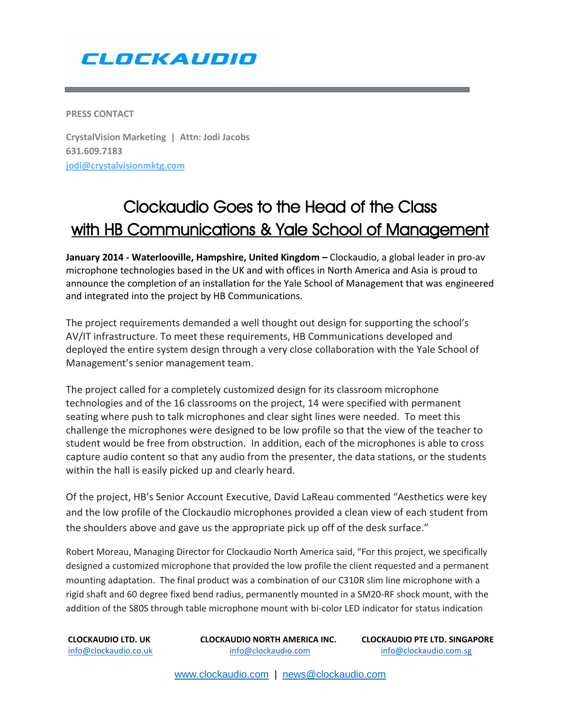## CLOCKAUDIO

**PRESS CONTACT** 

**CrystalVision Marketing | Attn: Jodi Jacobs 631.609.7183 [jodi@crystalvisionmktg.com](mailto:jodi@crystalvisionmktg.com)**

## Clockaudio Goes to the Head of the Class with HB Communications & Yale School of Management

**January 2014 - Waterlooville, Hampshire, United Kingdom –** Clockaudio, a global leader in pro-av microphone technologies based in the UK and with offices in North America and Asia is proud to announce the completion of an installation for the Yale School of Management that was engineered and integrated into the project by HB Communications.

The project requirements demanded a well thought out design for supporting the school's AV/IT infrastructure. To meet these requirements, HB Communications developed and deployed the entire system design through a very close collaboration with the Yale School of Management's senior management team.

The project called for a completely customized design for its classroom microphone technologies and of the 16 classrooms on the project, 14 were specified with permanent seating where push to talk microphones and clear sight lines were needed. To meet this challenge the microphones were designed to be low profile so that the view of the teacher to student would be free from obstruction. In addition, each of the microphones is able to cross capture audio content so that any audio from the presenter, the data stations, or the students within the hall is easily picked up and clearly heard.

Of the project, HB's Senior Account Executive, David LaReau commented "Aesthetics were key and the low profile of the Clockaudio microphones provided a clean view of each student from the shoulders above and gave us the appropriate pick up off of the desk surface."

Robert Moreau, Managing Director for Clockaudio North America said, "For this project, we specifically designed a customized microphone that provided the low profile the client requested and a permanent mounting adaptation. The final product was a combination of our C310R slim line microphone with a rigid shaft and 60 degree fixed bend radius, permanently mounted in a SM20-RF shock mount, with the addition of the S80S through table microphone mount with bi-color LED indicator for status indication

[info@clockaudio.co.uk](mailto:info@clockaudio.co.uk) [info@clockaudio.com](mailto:info@clockaudio.com) [info@clockaudio.com.sg](mailto:info@clockaudio.com.sg) 

**CLOCKAUDIO LTD. UK CLOCKAUDIO NORTH AMERICA INC. CLOCKAUDIO PTE LTD. SINGAPORE**